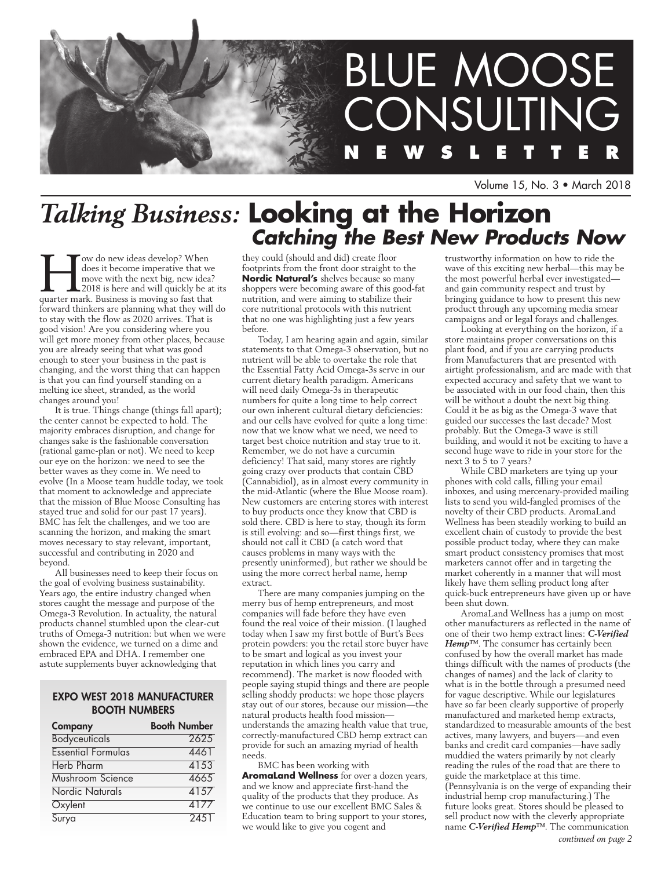

Volume 15, No. 3 • March 2018

# *Talking Business:* **Looking at the Horizon** *Catching the Best New Products Now*

Tow do new ideas develop? When<br>does it become imperative that we<br>move with the next big, new idea?<br>2018 is here and will quickly be at<br>quarter mark. Business is moving so fast that does it become imperative that we move with the next big, new idea? 2018 is here and will quickly be at its forward thinkers are planning what they will do to stay with the flow as 2020 arrives. That is good vision! Are you considering where you will get more money from other places, because you are already seeing that what was good enough to steer your business in the past is changing, and the worst thing that can happen is that you can find yourself standing on a melting ice sheet, stranded, as the world changes around you!

It is true. Things change (things fall apart); the center cannot be expected to hold. The majority embraces disruption, and change for changes sake is the fashionable conversation (rational game-plan or not). We need to keep our eye on the horizon: we need to see the better waves as they come in. We need to evolve (In a Moose team huddle today, we took that moment to acknowledge and appreciate that the mission of Blue Moose Consulting has stayed true and solid for our past 17 years). BMC has felt the challenges, and we too are scanning the horizon, and making the smart moves necessary to stay relevant, important, successful and contributing in 2020 and beyond.

All businesses need to keep their focus on the goal of evolving business sustainability. Years ago, the entire industry changed when stores caught the message and purpose of the Omega-3 Revolution. In actuality, the natural products channel stumbled upon the clear-cut truths of Omega-3 nutrition: but when we were shown the evidence, we turned on a dime and embraced EPA and DHA. I remember one astute supplements buyer acknowledging that

## Expo West 2018 Manufacturer Booth Numbers

| Company                   | <b>Booth Number</b> |
|---------------------------|---------------------|
| <b>Bodyceuticals</b>      | 2625                |
| <b>Essential Formulas</b> | 4461                |
| <b>Herb Pharm</b>         | 4153                |
| Mushroom Science          | 4665                |
| Nordic Naturals           | 4157                |
| Oxylent                   | 4177                |
| Surya                     | 2451                |

they could (should and did) create floor footprints from the front door straight to the **Nordic Natural's** shelves because so many shoppers were becoming aware of this good-fat nutrition, and were aiming to stabilize their core nutritional protocols with this nutrient that no one was highlighting just a few years before.

Today, I am hearing again and again, similar statements to that Omega-3 observation, but no nutrient will be able to overtake the role that the Essential Fatty Acid Omega-3s serve in our current dietary health paradigm. Americans will need daily Omega-3s in therapeutic numbers for quite a long time to help correct our own inherent cultural dietary deficiencies: and our cells have evolved for quite a long time: now that we know what we need, we need to target best choice nutrition and stay true to it. Remember, we do not have a curcumin deficiency! That said, many stores are rightly going crazy over products that contain CBD (Cannabidiol), as in almost every community in the mid-Atlantic (where the Blue Moose roam). New customers are entering stores with interest to buy products once they know that CBD is sold there. CBD is here to stay, though its form is still evolving: and so—first things first, we should not call it CBD (a catch word that causes problems in many ways with the presently uninformed), but rather we should be using the more correct herbal name, hemp extract.

There are many companies jumping on the merry bus of hemp entrepreneurs, and most companies will fade before they have even found the real voice of their mission. (I laughed today when I saw my first bottle of Burt's Bees protein powders: you the retail store buyer have to be smart and logical as you invest your reputation in which lines you carry and recommend). The market is now flooded with people saying stupid things and there are people selling shoddy products: we hope those players stay out of our stores, because our mission—the natural products health food mission understands the amazing health value that true, correctly-manufactured CBD hemp extract can provide for such an amazing myriad of health needs.

BMC has been working with **AromaLand Wellness** for over a dozen years, and we know and appreciate first-hand the quality of the products that they produce. As we continue to use our excellent BMC Sales & Education team to bring support to your stores, we would like to give you cogent and

trustworthy information on how to ride the wave of this exciting new herbal—this may be the most powerful herbal ever investigated and gain community respect and trust by bringing guidance to how to present this new product through any upcoming media smear campaigns and or legal forays and challenges.

Looking at everything on the horizon, if a store maintains proper conversations on this plant food, and if you are carrying products from Manufacturers that are presented with airtight professionalism, and are made with that expected accuracy and safety that we want to be associated with in our food chain, then this will be without a doubt the next big thing. Could it be as big as the Omega-3 wave that guided our successes the last decade? Most probably. But the Omega-3 wave is still building, and would it not be exciting to have a second huge wave to ride in your store for the next 3 to  $\frac{3}{5}$  to 7 years?

While CBD marketers are tying up your phones with cold calls, filling your email inboxes, and using mercenary-provided mailing lists to send you wild-fangled promises of the novelty of their CBD products. AromaLand Wellness has been steadily working to build an excellent chain of custody to provide the best possible product today, where they can make smart product consistency promises that most marketers cannot offer and in targeting the market coherently in a manner that will most likely have them selling product long after quick-buck entrepreneurs have given up or have been shut down.

AromaLand Wellness has a jump on most other manufacturers as reflected in the name of one of their two hemp extract lines: *C-Verified Hemp™*. The consumer has certainly been confused by how the overall market has made things difficult with the names of products (the changes of names) and the lack of clarity to what is in the bottle through a presumed need for vague descriptive. While our legislatures have so far been clearly supportive of properly manufactured and marketed hemp extracts, standardized to measurable amounts of the best actives, many lawyers, and buyers—and even banks and credit card companies—have sadly muddied the waters primarily by not clearly reading the rules of the road that are there to guide the marketplace at this time. (Pennsylvania is on the verge of expanding their industrial hemp crop manufacturing.) The future looks great. Stores should be pleased to sell product now with the cleverly appropriate name *C-Verified Hemp™*. The communication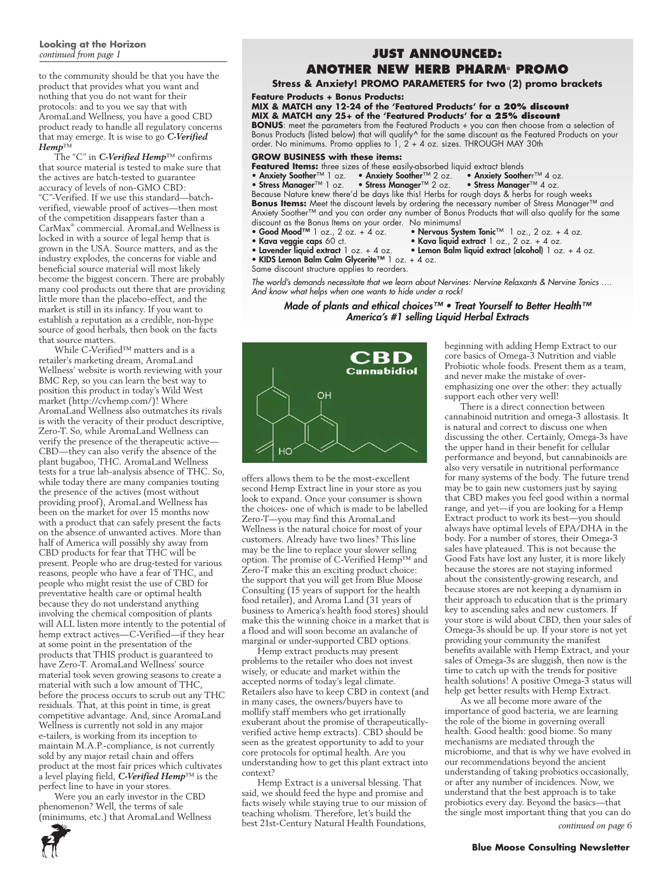# **Looking at the Horizon**

to the community should be that you have the product that provides what you want and nothing that you do not want for their protocols: and to you we say that with AromaLand Wellness, you have a good CBD product ready to handle all regulatory concerns that may emerge. It is wise to go *C-Verified Hemp*™

The "C" in *C-Verified Hemp*™ confirms that source material is tested to make sure that the actives are batch-tested to guarantee accuracy of levels of non-GMO CBD: "C"-Verified. If we use this standard—batchverified, viewable proof of actives—then most of the competition disappears faster than a CarMax® commercial. AromaLand Wellness is locked in with a source of legal hemp that is grown in the USA. Source matters, and as the industry explodes, the concerns for viable and beneficial source material will most likely become the biggest concern. There are probably many cool products out there that are providing little more than the placebo-effect, and the market is still in its infancy. If you want to establish a reputation as a credible, non-hype source of good herbals, then book on the facts that source matters.

While C-Verified™ matters and is a retailer's marketing dream, AromaLand Wellness' website is worth reviewing with your BMC Rep, so you can learn the best way to position this product in today's Wild West market (http://cvhemp.com/)! Where AromaLand Wellness also outmatches its rivals is with the veracity of their product descriptive, Zero-T. So, while AromaLand Wellness can verify the presence of the therapeutic active— CBD—they can also verify the absence of the plant bugaboo, THC. AromaLand Wellness tests for a true lab-analysis absence of THC. So, while today there are many companies touting the presence of the actives (most without providing proof), AromaLand Wellness has been on the market for over 15 months now with a product that can safely present the facts on the absence of unwanted actives. More than half of America will possibly shy away from CBD products for fear that THC will be present. People who are drug-tested for various reasons, people who have a fear of THC, and people who might resist the use of CBD for preventative health care or optimal health because they do not understand anything involving the chemical composition of plants will ALL listen more intently to the potential of hemp extract actives—C-Verified—if they hear at some point in the presentation of the products that THIS product is guaranteed to have Zero-T. AromaLand Wellness' source material took seven growing seasons to create a material with such a low amount of THC, before the process occurs to scrub out any THC residuals. That, at this point in time, is great competitive advantage. And, since AromaLand Wellness is currently not sold in any major e-tailers, is working from its inception to maintain M.A.P.-compliance, is not currently sold by any major retail chain and offers product at the most fair prices which cultivates a level playing field, *C-Verified Hemp*™ is the perfect line to have in your stores.

Were you an early investor in the CBD phenomenon? Well, the terms of sale (minimums, etc.) that AromaLand Wellness

## *continued from page 1* **JUST ANNOUNCED: ANOTHER NEW HERB PHARM® Promo**

#### **Stress & Anxiety! PROMO PARAMETERS for two (2) promo brackets**

**Feature Products + Bonus Products:** 

## **MIX & MATCH any 12-24 of the 'Featured Products' for a 20% discount**

**MIX & MATCH any 25+ of the 'Featured Products' for a 25% discount BONUS**: meet the parameters from the Featured Products + you can then choose from a selection of Bonus Products (listed below) that will qualify^ for the same discount as the Featured Products on your order. No minimums. Promo applies to 1, 2 + 4 oz. sizes. THROUGH MAY 30th

## **GROW BUSINESS with these items:**

- 
- **Featured Items:** three sizes of these easily-absorbed liquid extract blends<br>• Anxiety Soother™ 1 oz. Anxiety Soother™ 2 oz. Anxiety Sootherr™ 4 oz.
- Anxiety Soother™ 1 oz. Anxiety Soother™ 2 oz. Anxiety Sootherr™ 4 oz.<br>• Stress Manager™ 1 oz. Stress Manager™ 2 oz. Stress Manager™ 4 oz. • Stress Manager™ 2 oz.

Because Nature knew there'd be days like this! Herbs for rough days & herbs for rough weeks Bonus Items: Meet the discount levels by ordering the necessary number of Stress Manager™ and Anxiety Soother™ and you can order any number of Bonus Products that will also qualify for the same discount as the Bonus Items on your order. No minimums!<br>• Good Mood<sup>TM</sup> 1 oz., 2 oz. + 4 oz. • Nervous Sys

• Kava liquid extract  $1$  oz.,  $2$  oz. + 4 oz.

- Good Mood™ 1 oz., 2 oz. + 4 oz. Nervous System Tonic™ 1 oz., 2 oz. + 4 oz.<br>• Kava veggie caps 60 ct. Kava liquid extract 1 oz., 2 oz. + 4 oz.
- 
- 
- Lemon Balm liquid extract (alcohol) 1 oz. + 4 oz. • Lavender liquid extract 1 oz. + 4 oz. • Lemo<br>• KIDS Lemon Balm Calm Glycerite™ 1 oz. + 4 oz.
- 
- Same discount structure applies to reorders.

*The world's demands necessitate that we learn about Nervines: Nervine Relaxants & Nervine Tonics …. And know what helps when one wants to hide under a rock!*

### Made of plants and ethical choices™ • Treat Yourself to Better Health™ America's #1 selling Liquid Herbal Extracts



offers allows them to be the most-excellent second Hemp Extract line in your store as you look to expand. Once your consumer is shown the choices- one of which is made to be labelled Zero-T—you may find this AromaLand Wellness is the natural choice for most of your customers. Already have two lines? This line may be the line to replace your slower selling option. The promise of C-Verified Hemp™ and Zero-T make this an exciting product choice: the support that you will get from Blue Moose Consulting (15 years of support for the health food retailer), and Aroma Land (31 years of business to America's health food stores) should make this the winning choice in a market that is a flood and will soon become an avalanche of marginal or under-supported CBD options.

Hemp extract products may present problems to the retailer who does not invest wisely, or educate and market within the accepted norms of today's legal climate. Retailers also have to keep CBD in context (and in many cases, the owners/buyers have to mollify staff members who get irrationally exuberant about the promise of therapeuticallyverified active hemp extracts). CBD should be seen as the greatest opportunity to add to your core protocols for optimal health. Are you understanding how to get this plant extract into context?

Hemp Extract is a universal blessing. That said, we should feed the hype and promise and facts wisely while staying true to our mission of teaching wholism. Therefore, let's build the best 21st-Century Natural Health Foundations,

beginning with adding Hemp Extract to our core basics of Omega-3 Nutrition and viable Probiotic whole foods. Present them as a team, and never make the mistake of overemphasizing one over the other: they actually support each other very well!

There is a direct connection between cannabinoid nutrition and omega-3 allostasis. It is natural and correct to discuss one when discussing the other. Certainly, Omega-3s have the upper hand in their benefit for cellular performance and beyond, but cannabinoids are also very versatile in nutritional performance for many systems of the body. The future trend may be to gain new customers just by saying that CBD makes you feel good within a normal range, and yet—if you are looking for a Hemp Extract product to work its best—you should always have optimal levels of EPA/DHA in the body. For a number of stores, their Omega-3 sales have plateaued. This is not because the Good Fats have lost any luster, it is more likely because the stores are not staying informed about the consistently-growing research, and because stores are not keeping a dynamism in their approach to education that is the primary key to ascending sales and new customers. If your store is wild about CBD, then your sales of Omega-3s should be up. If your store is not yet providing your community the manifest benefits available with Hemp Extract, and your sales of Omega-3s are sluggish, then now is the time to catch up with the trends for positive health solutions! A positive Omega-3 status will help get better results with Hemp Extract.

As we all become more aware of the importance of good bacteria, we are learning the role of the biome in governing overall health. Good health: good biome. So many mechanisms are mediated through the microbiome, and that is why we have evolved in our recommendations beyond the ancient understanding of taking probiotics occasionally, or after any number of incidences. Now, we understand that the best approach is to take probiotics every day. Beyond the basics—that the single most important thing that you can do



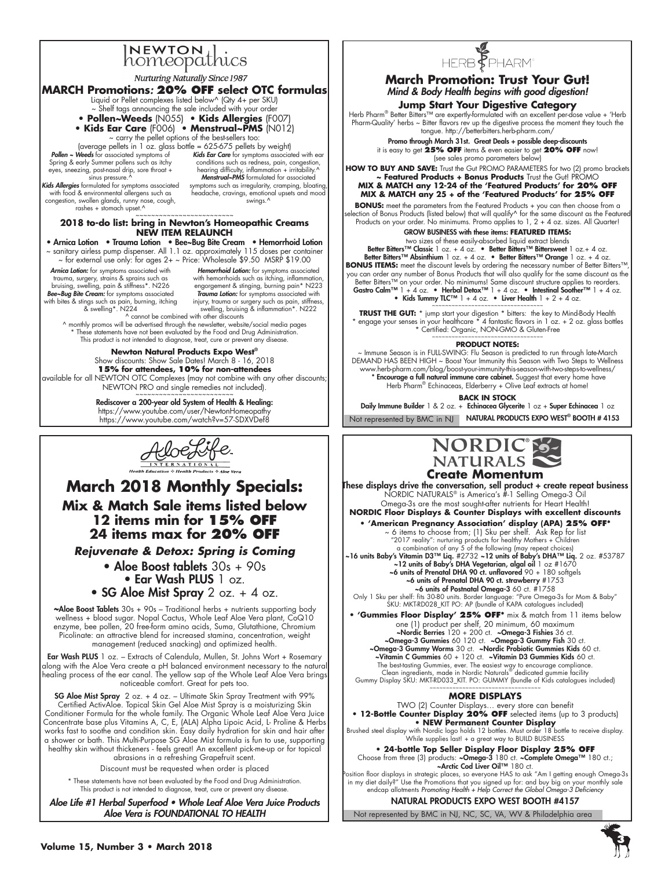# INEWTON thics

**Nurturing Naturally Since 1987** 

### **MARCH Promotions***:* **20% OFF select OTC formulas**

- Liquid or Pellet complexes listed below^ (Qty 4+ per SKU)
- ~ Shelf tags announcing the sale included with your order
- **Pollen~Weeds** (N055)  **Kids Allergies** (F007) **• Kids Ear Care** (F006) **• Menstrual~PMS** (N012)
- ~ carry the pellet options of the best-sellers too:

(average pellets in 1 oz. glass bottle = 625-675 pellets by weight) Pollen ~ Weeds for associated symptoms of Spring & early Summer pollens such as itchy

eyes, sneezing, post-nasal drip, sore throat + sinus pressure.<sup>1</sup>

Kids Allergies formulated for symptoms associated with food & environmental allergens such as congestion, swollen glands, runny nose, cough, rashes + stomach upset.^

Kids Ear Care for symptoms associated with ear conditions such as redness, pain, congestion, hearing difficulty, inflammation + irritability.^<br>Menstrual~PMS formulated for associated symptoms such as irregularity, cramping, bloating, headache, cravings, emotional upsets and mood swings.^

## ~~~~~~~~~~~~~~~~~~~~~~~~~ **2018 to-do list: bring in Newton's Homeopathic Creams NEW ITEM RELAUNCH**

• Arnica Lotion • Trauma Lotion • Bee~Bug Bite Cream • Hemorrhoid Lotion ~ sanitary airless pump dispenser. All 1.1 oz. approximately 115 doses per container ~ for external use only: for ages 2+ ~ Price: Wholesale \$9.50 MSRP \$19.00 Arnica Lotion: for symptoms associated with trauma, surgery, strains & sprains such as bruising, swelling, pain & stiffness\*. N226 Bee~Bug Bite Cream: for symptoms associated with bites & stings such as pain, burning, itching & swelling\*. N224 Hemorrhoid Lotion: for symptoms associated with hemorrhoids such as itching, inflammation engorgement & stinging, burning pain\* N223

Trauma Lotion: for symptoms associated with injury, trauma or surgery such as pain, stiffness, swelling, bruising & inflammation\*. N222 ^ cannot be combined with other discounts

^ monthly promos will be advertised through the newsletter, website/social media pages These statements have not been evaluated by the Food and Drug Administration This product is not intended to diagnose, treat, cure or prevent any disease.

**Newton Natural Products Expo West®** Show discounts: Show Sale Dates! March 8 - 16, 2018 **15% for attendees, 10% for non-attendees** available for all NEWTON OTC Complexes (may not combine with any other discounts; NEWTON PRO and single remedies not included).

> Rediscover a 200-year old System of Health & Healing: https://www.youtube.com/user/NewtonHomeopathy https://www.youtube.com/watch?v=57-SDXVDef8



**March 2018 Monthly Specials: Mix & Match Sale items listed below 12 items min for 15% off 24 items max for 20% off**

*Rejuvenate & Detox: Spring is Coming*

- Aloe Boost tablets 30s + 90s • Ear Wash PLUS 1 oz.
- SG Aloe Mist Spray 2 oz.  $+$  4 oz.

*~*Aloe Boost Tablets 30s + 90s – Traditional herbs + nutrients supporting body wellness + blood sugar. Nopal Cactus, Whole Leaf Aloe Vera plant, CoQ10 enzyme, bee pollen, 20 free-form amino acids, Suma, Glutathione, Chromium Picolinate: an attractive blend for increased stamina, concentration, weight management (reduced snacking) and optimized health.

Ear Wash PLUS 1 oz. - Extracts of Calendula, Mullen, St. Johns Wort + Rosemary along with the Aloe Vera create a pH balanced environment necessary to the natural healing process of the ear canal. The yellow sap of the Whole Leaf Aloe Vera brings noticeable comfort. Great for pets too.

**SG Aloe Mist Spray** 2 oz.  $+$  4 oz. – Ultimate Skin Spray Treatment with 99% Certified ActivAloe. Topical Skin Gel Aloe Mist Spray is a moisturizing Skin Conditioner Formula for the whole family. The Organic Whole Leaf Aloe Vera Juice Concentrate base plus Vitamins A, C, E, (ALA) Alpha Lipoic Acid, L- Proline & Herbs works fast to soothe and condition skin. Easy daily hydration for skin and hair after a shower or bath. This Multi-Purpose SG Aloe Mist formula is fun to use, supporting healthy skin without thickeners - feels great! An excellent pick-me-up or for topical abrasions in a refreshing Grapefruit scent.

Discount must be requested when order is placed

\* These statements have not been evaluated by the Food and Drug Administration. This product is not intended to diagnose, treat, cure or prevent any disease

Aloe Life #1 Herbal Superfood • Whole Leaf Aloe Vera Juice Products Aloe Vera is FOUNDATIONAL TO HEALTH



# **March Promotion: Trust Your Gut!** Mind & Body Health begins with good digestion!

**Jump Start Your Digestive Category**<br>Herb Pharm® Better Bitters™ are expertly-formulated with an excellent per-dose value + 'Herb Pharm-Quality' herbs ~ Bitter flavors rev up the digestive process the moment they touch the tongue. http://betterbitters.herb-pharm.com/

> Promo through March 31st. Great Deals + possible deep-discounts it is easy to get **25% OFF** items & even easier to get **20% OFF** now! (see sales promo parameters below)

HOW TO BUY AND SAVE: Trust the Gut PROMO PARAMETERS for two (2) promo brackets **~ Featured Products + Bonus Products** Trust the Gut! PROMO **MIX & MATCH any 12-24 of the 'Featured Products' for 20% OFF MIX & MATCH any 25 + of the 'Featured Products' for 25% OFF**

**BONUS:** meet the parameters from the Featured Products + you can then choose from a ection of Bonus Products (listed below) that will qualify^ for the same discount as the Feature Products on your order. No minimums. Promo applies to 1, 2 + 4 oz. sizes. All Quarter!

GROW BUSINESS with these items: **Featured Items:**  two sizes of these easily-absorbed liquid extract blends

Better Bitters™ Classic 1 oz. + 4 oz. • Better Bitters™ Bittersweet 1 oz.+ 4 oz. Better Bitters™ Absinthium 1 oz. + 4 oz. • Better Bitters™ Orange 1 oz. + 4 oz. BONUS ITEMS: meet the discount levels by ordering the necessary number of Better Bitters<sup>™</sup> you can order any number of Bonus Products that will also qualify for the same discount as the<br>Better Bitters™ on your order. No minimums! Same discount structure applies to reorders. Gastro Calm™ 1 + 4 oz. • Herbal Detox™ 1 + 4 oz. • Intestinal Soother™ 1 + 4 oz. • Kids Tummy TLC™ 1 + 4 oz. • Liver Health  $1 + 2 + 4$  oz.

~~~~~~~~~~~~~~~~~~~~~~~~~~~~~~~~~~ **TRUST THE GUT:** \* jump start your digestion \* bitters: the key to Mind-Body Health \* engage your senses in your healthcare \* 4 fantastic flavors in 1 oz. + 2 oz. glass bottles \* Certified: Organic, NON-GMO & Gluten-Free

# ~~~~~~~~~~~~~~~~~~~~~~~~~~~~~~~~~~ **PRODUCT NOTES:**

~ Immune Season is in FULL-SWING: Flu Season is predicted to run through late-March DEMAND HAS BEEN HIGH ~ Boost Your Immunity this Season with Two Steps to Wellness www.herb-pharm.com/blog/boost-your-immunity-this-season-with-two-steps-to-wellness/ \* Encourage a full natural immune care cabinet. Suggest that every home have Herb Pharm<sup>®</sup> Echinaceas, Elderberry + Olive Leaf extracts at home!

**Back in Stock**

Not represented by BMC in NJ **NATURAL PRODUCTS EXPO WEST® BOOTH # 4153** Daily Immune Builder 1 & 2 oz. + Echinacea Glycerite 1 oz + Super Echinacea 1 oz



#### **Create Momentum** These displays drive the conversation, sell product + create repeat business

NORDIC NATURALS® is America's #-1 Selling Omega-3 Oil Omega-3s are the most sought-after nutrients for Heart Health!

**NORDIC Floor Displays & Counter Displays with excellent discounts • 'American Pregnancy Association' display (APA) 25% OFF\***

~ 6 items to choose from; (1) Sku per shelf. Ask Rep for list

2017 reality": nurturing products for healthy Mothers + Children"<br>a combination of any 5 of the following (may repeat choices)<br>No units Baby's Vitamin D3™ Liq. #2732 ~12 units of Baby's DHA™ Liq. 2 oz. #53787~<br>Na units of ~6 units of Prenatal DHA 90 ct. unflavored 90 + 180 softgels of **units of Prenatal DHA 90 ct. strawberry** #1753 م**- 6 units of Prenatal OHA 90 ct. strawberry .**<br>Conly 1 Sku per shelf: fits 30-80 units. Border language: "Pure Omega-3s for Mom & Baby"

SKU: MKT-RD028\_KIT PO: AP (bundle of KAPA catalogues included)

**• 'Gummies Floor Display' 25% OFF\*** mix & match from 11 items below one (1) product per shelf, 20 minimum, 60 maximum<br>~Nordic Berries 120 + 200 ct. ~Omega-3 Fishies 36 ct.<br>~Omega-3 Gummies 60 120 ct. ~Omega-3 Gummy Fish 30 ct. ~Omega-3 Gummy Worms 30 ct. ~Nordic Probiotic Gummies Kids 60 ct.

~Vitamin C Gummies 60 + 120 ct. ~Vitamin D3 Gummies Kids 60 ct. The best-tasting Gummies, ever. The easiest way to encourage compliance. Clean ingredients, made in Nordic Naturals® dedicated gummie facility Gummy Display SKU: MKT-RD033\_KIT. PO: GUMMY (bundle of Kids catalogues included)

> ~~~~~~~~~~~~~~~~~~~~~~~~~~~~~~~ **more displays**

TWO (2) Counter Displays… every store can benefit **• 12-Bottle Counter Display 20% OFF** selected items (up to 3 products) **• NEW Permanent Counter Display** Brushed steel display with Nordic logo holds 12 bottles. Must order 18 bottle to receive display. While supplies last! + a great way to BUILD BUSINESS

**• 24-bottle Top Seller Display Floor Display 25% OFF** Choose from three (3) products: **~Omega-3** 180 ct. **~Complete Omega™** 180 ct.;

~Arctic Cod Liver Oil™ 180 ct.

Position floor displays in strategic places, so everyone HAS to ask "Am I getting enough Omega-3s in my diet daily?" Use the Promotions that you signed up for: and buy big on your monthly sale endcap allotments *Promoting Health* + Help Correct the Global Omega-3 Deficiency

NATURAL PRODUCTS EXPO WEST BOOTH #4157

Not represented by BMC in NJ, NC, SC, VA, WV & Philadelphia area

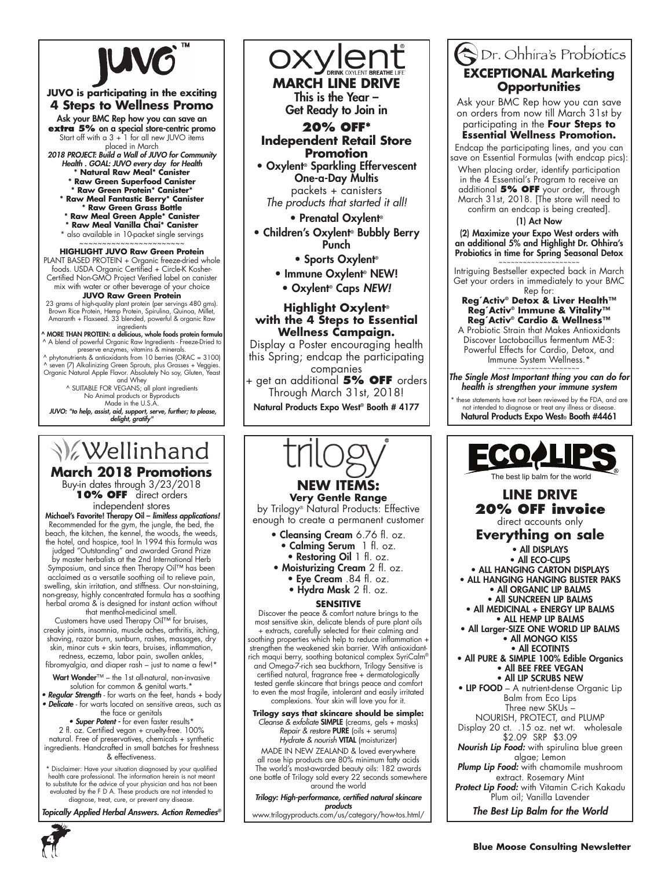

## **JUVO is participating in the exciting 4 Steps to Wellness Promo**

Ask your BMC Rep how you can save an **extra 5%** on a special store-centric promo Start off with a  $3 + 1$  for all new JUVO items

placed in March 2018 PROJECT: Build a Wall of JUVO for Community Health . GOAL: JUVO every day for Health

- **\* Natural Raw Meal\* Canister \* Raw Green Superfood Canister**
- **\* Raw Green Protein\* Canister\* \* Raw Meal Fantastic Berry\* Canister**
- **\* Raw Green Grass Bottle \* Raw Meal Green Apple\* Canister**
- **\* Raw Meal Vanilla Chai\* Canister**
- \* also available in 10-packet single servings

# ~~~~~~~~~~~~~~~~~~~~~~~ **HIGHLIGHT JUVO Raw Green Protein**

PLANT BASED PROTEIN + Organic freeze-dried whole foods. USDA Organic Certified + Circle-K Kosher-Certified Non-GMO Project Verified label on canister mix with water or other beverage of your choice

#### **JUVO Raw Green Protein**

23 grams of high-quality plant protein (per servings 480 gms). Brown Rice Protein, Hemp Protein, Spirulina, Quinoa, Millet, Amaranth + Flaxseed. 33 blended, powerful & organic Raw

ingredients<br>MORE THAN PROTEIN: a delicious, whole foods protein formula ^ ^ A blend of powerful Organic Raw Ingredients - Freeze-Dried to

preserve enzymes, vitamins & minerals. ^ phytonutrients & antioxidants from 10 berries (ORAC = 3100) ^ seven (7) Alkalinizing Green Sprouts, plus Grasses + Veggies. Organic Natural Apple Flavor. Absolutely No soy, Gluten, Yeast and Whey ^ SUITABLE FOR VEGANS; all plant ingredients

No Animal products or Byproducts Made in the U.S.A.

 JUVO: "to help, assist, aid, support, serve, further; to please, delight, gratify"

# **V**ellinhand

**March 2018 Promotions**

Buy-in dates through 3/23/2018 **10% OFF** direct orders independent stores

Michael's Favorite! Therapy Oil – limitless applications! Recommended for the gym, the jungle, the bed, the beach, the kitchen, the kennel, the woods, the weeds, the hotel, and hospice, too! In 1994 this formula was

judged "Outstanding" and awarded Grand Prize by master herbalists at the 2nd International Herb Symposium, and since then Therapy Oil™ has been acclaimed as a versatile soothing oil to relieve pain, swelling, skin irritation, and stiffness. Our non-staining, non-greasy, highly concentrated formula has a soothing

herbal aroma & is designed for instant action without that menthol-medicinal smell. Customers have used Therapy Oil™ for bruises,

creaky joints, insomnia, muscle aches, arthritis, itching, shaving, razor burn, sunburn, rashes, massages, dry skin, minor cuts + skin tears, bruises, inflammation,

redness, eczema, labor pain, swollen ankles, fibromyalgia, and diaper rash – just to name a few!\*

Wart Wonder™ – the 1st all-natural, non-invasive solution for common & genital warts.\*<br>**• Regular Strength** - for warts on the feet, hands + body

• Delicate - for warts located on sensitive areas, such as

the face or genitals<br>• **Super Potent** - for even faster results\*

2 fl. oz. Certified vegan + cruelty-free. 100% natural. Free of preservatives, chemicals + synthetic ingredients. Handcrafted in small batches for freshness & effectiveness.

\* Disclaimer: Have your situation diagnosed by your qualified health care professional. The information herein is not meant to substitute for the advice of your physician and has not been evaluated by the F D A. These products are not intended to diagnose, treat, cure, or prevent any disease.

Topically Applied Herbal Answers. Action Remedies*®*



**MARCH LINE DRI** This is the Year – Get Ready to Join in

## **20% OFF\* Independent Retail Store Promotion**

• Oxylent® Sparkling Effervescent One-a-Day Multis packets + canisters

*The products that started it all!* • Prenatal Oxylent®

- Children's Oxylent® Bubbly Berry
	- Punch • Sports Oxylent®
	- Immune Oxylent® NEW!
	- Oxylent® Caps NEW!

## **Highlight Oxylent® with the 4 Steps to Essential Wellness Campaign.**

Display a Poster encouraging health this Spring; endcap the participating

companies + get an additional **5% OFF** orders Through March 31st, 2018!

Natural Products Expo West® Booth # 4177



*Repair & restore* PURE (oils + serums) *Hydrate & nourish* VITAL (moisturizer)

MADE IN NEW ZEALAND & loved everywhere all rose hip products are 80% minimum fatty acids The world's most-awarded beauty oils: 182 awards one bottle of Trilogy sold every 22<sup>'</sup> seconds somewhere around the world

Trilogy: High-performance, certified natural skincare products

# www.trilogyproducts.com/us/category/how-tos.html/

# Dr. Ohhira's Probiotics **EXCEPTIONAL Marketing Opportunities**

Ask your BMC Rep how you can save on orders from now till March 31st by participating in the **Four Steps to** 

# **Essential Wellness Promotion.**

Endcap the participating lines, and you can save on Essential Formulas (with endcap pics):

When placing order, identify participation in the 4 Essential's Program to receive an additional **5% OFF** your order, through March 31st, 2018. [The store will need to confirm an endcap is being created].

#### (1) Act Now

(2) Maximize your Expo West orders with an additional 5% and Highlight Dr. Ohhira's Probiotics in time for Spring Seasonal Detox ~~~~~~~~~~~~~~~~~

Intriguing Bestseller expected back in March Get your orders in immediately to your BMC Rep for:

### **Reg´Activ® Detox & Liver Health™ Reg´Activ® Immune & Vitality™ Reg´Activ® Cardio & Wellness™**

A Probiotic Strain that Makes Antioxidants Discover Lactobacillus fermentum ME-3: Powerful Effects for Cardio, Detox, and Immune System Wellness.\*

~~~~~~~~~~~~~~~~~~~~ The Single Most Important thing you can do for health is strengthen your immune system

these statements have not been reviewed by the FDA, and are not intended to diagnose or treat any illness or dise Natural Products Expo West® Booth #4461



**20% OFF invoice**  direct accounts only **Everything on sale** • All DISPLAYS • All ECO-CLIPS

• ALL HANGING CARTON DISPLAYS • ALL HANGING HANGING BLISTER PAKS • All ORGANIC LIP BALMS

- All SUNCREEN LIP BALMS • All MEDICINAL + ENERGY LIP BALMS • ALL HEMP LIP BALMS
- All Larger-SIZE ONE WORLD LIP BALMS • All MONGO KISS
	- All ECOTINTS
- All PURE & SIMPLE 100% Edible Organics • All BEE FREE VEGAN • All LIP SCRUBS NEW
- LIP FOOD A nutrient-dense Organic Lip Balm from Eco Lips Three new SKUs – NOURISH, PROTECT, and PLUMP
- Display 20 ct. .15 oz. net wt. wholesale \$2.09 SRP \$3.09
- Nourish Lip Food: with spirulina blue green algae; Lemon
- Plump Lip Food: with chamomile mushroom extract. Rosemary Mint

Protect Lip Food: with Vitamin C-rich Kakadu Plum oil; Vanilla Lavender

The Best Lip Balm for the World

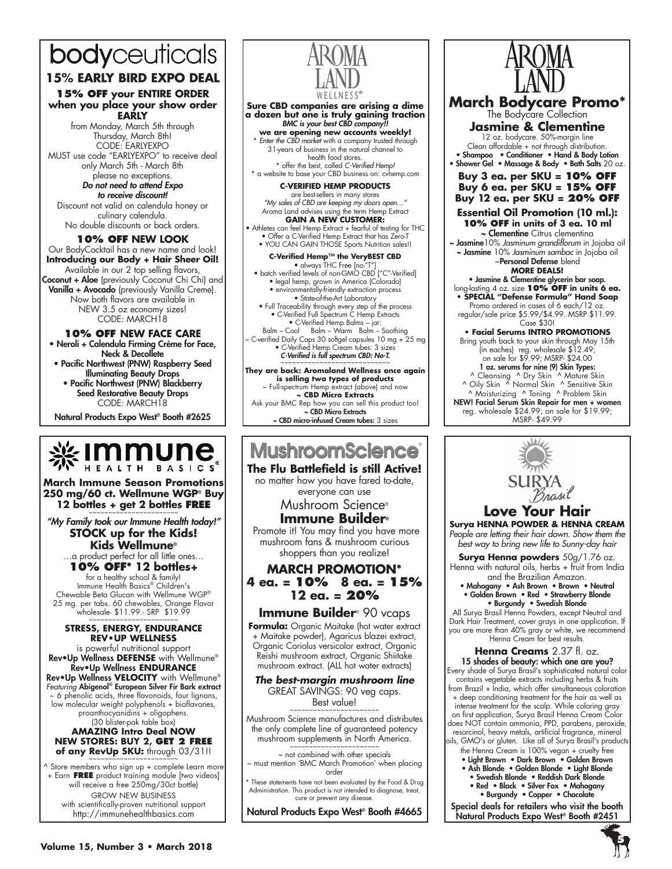# bodyceuticals

# **15% EARLY BIRD EXPO DEAL**

#### **15% OFF your ENTIRE ORDER when you place your show order EARLY**

from Monday, March 5th through Thursday, March 8th! CODE: EARLYEXPO MUST use code "EARLYEXPO" to receive deal only March 5th - March 8th

please no exceptions. Do not need to attend Expo to receive discount! Discount not valid on calendula honey or culinary calendula. No double discounts or back orders.

**10% OFF NEW LOOK** Our BodyCocktail has a new name and look! **Introducing our Body + Hair Sheer Oil!**  Available in our 2 top selling flavors, **Coconut + Aloe** (previously Coconut Chi Chi) and Vanilla + Avocado (previously Vanilla Creme). Now both flavors are available in NEW 3.5 oz economy sizes! CODE: MARCH18

## **10% OFF NEW FACE CARE**

• Neroli + Calendula Firming Crème for Face, Neck & Decollete

- Pacific Northwest (PNW) Raspberry Seed Illuminating Beauty Drops
- Pacific Northwest (PNW) Blackberry Seed Restorative Beauty Drops CODE: MARCH18

Natural Products Expo West® Booth #2625



**March Immune Season Promotions 250 mg/60 ct. Wellmune WGP® Buy 12 bottles + get 2 bottles FREE** 

"My Family took our Immune Health today!" **STOCK up for the Kids! Kids Wellmune®** 

…a product perfect for all little ones…

**10% OFF\* 12 bottles+**  for a healthy school & family! Immune Health Basics® Children's Chewable Beta Glucan with Wellmune WGP® 25 mg. per tabs. 60 chewables, Orange Flavor wholesale- \$11.99.- SRP \$19.99 ~~~~~~~~~~~~~~~~~~~~~~~

#### **STRESS, ENERGY, ENDURANCE Rev•Up Wellness**

is powerful nutritional support Rev•Up Wellness **DEFENSE** with Wellmune® Rev•Up Wellness **ENDURANCE**  Rev•Up Wellness **VELOCITY** with Wellmune® *Featuring* Abigenol® European Silver Fir Bark extract ~ 6 phenolic acids, three flavonoids, four lignans, low molecular weight polyphenols + bioflavones, proanthocyanidins + oligophens. (30 blister-pak table box) **AMAZING Intro Deal NOW NEW STORES: BUY 2, Get 2 free** 

of any RevUp SKU: through 03/31!!

^ Store members who sign up + complete Learn more + Earn **FREE** product training module [two videos] will receive a free 250mg/30ct bottle) GROW NEW BUSINESS with scientifically-proven nutritional support http://immunehealthbasics.com



#### **Sure CBD companies are arising a dime a dozen but one is truly gaining traction** BMC is your best CBD company!!

**we are opening new accounts weekly!** \* *Enter the CBD market* with a company trusted through 31-years of business in the natural channel to health food stores. \* offer the best, called *C-Verified Hemp!*

\* a website to base your CBD business on: cvhemp.com

**C-VERIFIED HEMP PRODUCTS** are best-sellers in many stores *"My sales of CBD are keeping my doors open…"* Aroma Land advises using the term Hemp Extract **GAIN A NEW CUSTOMER:** 

• Athletes can feel Hemp Extract + fearful of testing for THC • Offer a C-Verified Hemp Extract that has Zero-T

• YOU CAN GAIN THOSE Sports Nutrition sales!! **C-Verified Hemp™ the VeryBEST CBD**<br>• always THC Free [no-"T"]<br>• batch verified levels of non-GMO CBD ["C"-Verified] • legal hemp, grown in America (Colorado) • environmentally-friendly extraction process

• State-of-the-Art Laboratory<br>• Full Traceability through every step of the process<br>• C-Verified Full Spectrum C Hemp Extracts<br>• C-Verified Hemp Balms – jar:<br>Balm – Cool Balm – Warm Balm – Soothing<br>~ C-verified Daily Caps

• C-Verified Hemp Cream tubes: 3 sizes C-Verified is full spectrum CBD: No-T.

~~~~~~~~~~~~~~~~~~~~~~~~~~~~ **They are back: Aromaland Wellness once again is selling two types of products** ~ Full-spectrum Hemp extract (above) and now **~ CBD Micro Extracts** Ask your BMC Rep how you can sell this product too! ~ CBD Micro Extracts ~ CBD micro-infused Cream tubes: 3 sizes

# **MushroomScience**

**The Flu Battlefield is still Active!** no matter how you have fared to-date,

everyone can use

Mushroom Science®

## **Immune Builder®**

Promote it! You may find you have more mushroom fans & mushroom curious shoppers than you realize!

## **MARCH PROMOTION\* 4 ea. = 10% 8 ea. = 15% 12 ea. = 20%**

## **Immune Builder**® 90 vcaps

**Formula:** Organic Maitake (hot water extract + Maitake powder), Agaricus blazei extract, Organic Coriolus versicolor extract, Organic Reishi mushroom extract, Organic Shiitake mushroom extract. (ALL hot water extracts)

*The best-margin mushroom line*  GREAT SAVINGS: 90 veg caps. Best value!

Mushroom Science manufactures and distributes the only complete line of guaranteed potency mushroom supplements in North America.

~ not combined with other specials ~ must mention 'BMC March Promotion' when placing

order

\* These statements have not been evaluated by the Food & Drug Administration. This product is not intended to diagnose, treat, cure or prevent any disease.

Natural Products Expo West® Booth #4665



**March Bodycare Promo\*** The Bodycare Collection

**Jasmine & Clementine** 12 oz. bodycare. 50%-margin line Clean affordable + not through distribution. • Shampoo • Conditioner • Hand & Body Lotion

• Shower Gel • Massage & Body • Bath Salts 20 oz. **Buy 3 ea. per SKU = 10% OFF Buy 6 ea. per SKU = 15% OFF Buy 12 ea. per SKU = 20% OFF**

**Essential Oil Promotion (10 ml.): 10% OFF in units of 3 ea. 10 ml**

~ Clementine Citrus clementina ~ Jasmine10% *Jasminum grandiflorum* in Jojoba oil ~ Jasmine 10% *Jasminum sambac* in Jojoba oil

~Personal Defense blend **More deals!**

• Jasmine & Clementine glycerin bar soap. long-lasting 4 oz. size **10% OFF in units 6 ea. • SPECIAL "Defense Formula" Hand Soap**  Promo ordered in cases of 6 each/12 oz.

regular/sale price \$5.99/\$4.99. MSRP \$11.99. Case \$30!

**• Facial Serums INTRO PROMOTIONS** Bring youth back to your skin through May 15th (in eaches) reg. wholesale \$12.49; on sale for \$9.99; MSRP- \$24.00 1 oz. serums for nine (9) Skin Types: ^ Cleansing ^ Dry Skin ^ Mature Skin ^ Oily Skin ^ Normal Skin ^ Sensitive Skin ^ Moisturizing ^ Toning ^ Problem Skin NEW! Facial Serum Skin Repair for men + women reg. wholesale \$24.99; on sale for \$19.99;

MSRP- \$49.99



## **Love Your Hair Surya HENNA POWDER & HENNA CREAM**

*People are letting their hair down. Show them the best way to bring new life to Sunny-day hair*

**Surya Henna powders** 50g/1.76 oz.

Henna with natural oils, herbs + fruit from India and the Brazilian Amazon.

• Mahogany • Ash Brown • Brown • Neutral • Golden Brown • Red • Strawberry Blonde • Burgundy • Swedish Blonde

All Surya Brasil Henna Powders, except Neutral and Dark Hair Treatment, cover grays in one application. If you are more than 40% gray or white, we recommend Henna Cream for best results.

# **Henna Creams** 2.37 fl. oz.

15 shades of beauty: which one are you? Every shade of Surya Brasil's sophisticated natural color contains vegetable extracts including herbs & fruits from Brazil + India, which offer simultaneous coloration + deep conditioning treatment for the hair as well as intense treatment for the scalp. While coloring gray on first application, Surya Brasil Henna Cream Color does NOT contain ammonia, PPD, parabens, peroxide, resorcinol, heavy metals, artificial fragrance, mineral ils, GMO's or gluten. Like all of Surya Brasil's products

- the Henna Cream is 100% vegan + cruelty free
- Light Brown Dark Brown Golden Brown
- Ash Blonde Golden Blonde Light Blonde • Swedish Blonde • Reddish Dark Blonde
	- Red Black Silver Fox Mahogany • Burgundy • Copper • Chocolate

Special deals for retailers who visit the booth Natural Products Expo West® Booth #2451

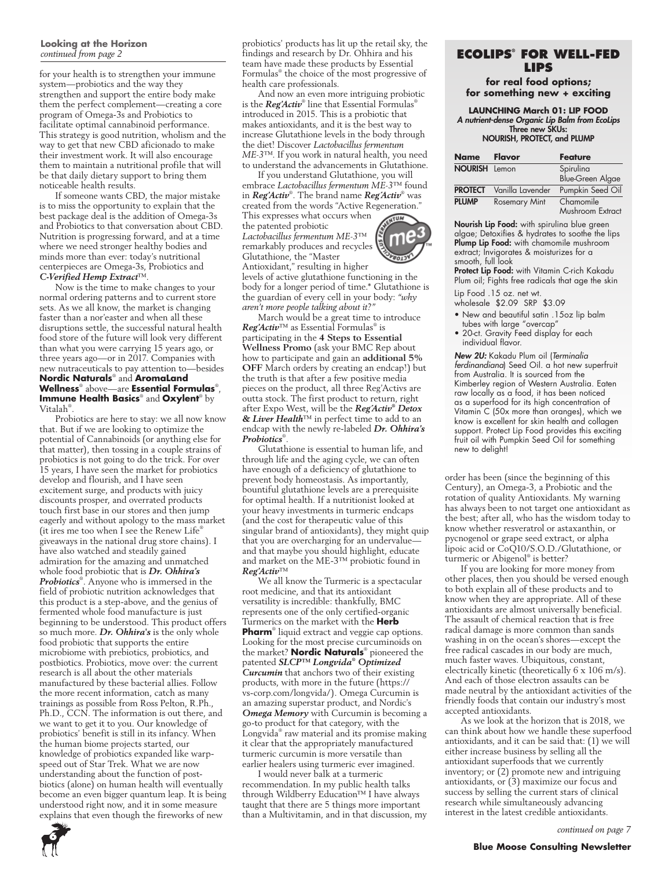#### **Looking at the Horizon** *continued from page 2*

for your health is to strengthen your immune system—probiotics and the way they strengthen and support the entire body make them the perfect complement—creating a core program of Omega-3s and Probiotics to facilitate optimal cannabinoid performance. This strategy is good nutrition, wholism and the way to get that new CBD aficionado to make their investment work. It will also encourage them to maintain a nutritional profile that will be that daily dietary support to bring them noticeable health results.

If someone wants CBD, the major mistake is to miss the opportunity to explain that the best package deal is the addition of Omega-3s and Probiotics to that conversation about CBD. Nutrition is progressing forward, and at a time where we need stronger healthy bodies and minds more than ever: today's nutritional centerpieces are Omega-3s, Probiotics and *C-Verified Hemp Extract*™.

Now is the time to make changes to your normal ordering patterns and to current store sets. As we all know, the market is changing faster than a nor'easter and when all these disruptions settle, the successful natural health food store of the future will look very different than what you were carrying 15 years ago, or three years ago—or in 2017. Companies with new nutraceuticals to pay attention to—besides **Nordic Naturals**® and **AromaLand Wellness**® above—are **Essential Formulas**® , **Immune Health Basics**® and **Oxylent**® by Vitalah® .

Probiotics are here to stay: we all now know that. But if we are looking to optimize the potential of Cannabinoids (or anything else for that matter), then tossing in a couple strains of probiotics is not going to do the trick. For over 15 years, I have seen the market for probiotics develop and flourish, and I have seen excitement surge, and products with juicy discounts prosper, and overrated products touch first base in our stores and then jump eagerly and without apology to the mass market (it ires me too when I see the Renew Life® giveaways in the national drug store chains). I have also watched and steadily gained admiration for the amazing and unmatched whole food probiotic that is *Dr. Ohhira's Probiotics*® . Anyone who is immersed in the field of probiotic nutrition acknowledges that this product is a step-above, and the genius of fermented whole food manufacture is just beginning to be understood. This product offers so much more. *Dr. Ohhira's* is the only whole food probiotic that supports the entire microbiome with prebiotics, probiotics, and postbiotics. Probiotics, move over: the current research is all about the other materials manufactured by these bacterial allies. Follow the more recent information, catch as many trainings as possible from Ross Pelton, R.Ph., Ph.D., CCN. The information is out there, and we want to get it to you. Our knowledge of probiotics' benefit is still in its infancy. When the human biome projects started, our knowledge of probiotics expanded like warpspeed out of Star Trek. What we are now understanding about the function of postbiotics (alone) on human health will eventually become an even bigger quantum leap. It is being understood right now, and it in some measure explains that even though the fireworks of new

probiotics' products has lit up the retail sky, the findings and research by Dr. Ohhira and his team have made these products by Essential Formulas® the choice of the most progressive of health care professionals.

And now an even more intriguing probiotic is the *Reg'Activ*® line that Essential Formulas® introduced in 2015. This is a probiotic that makes antioxidants, and it is the best way to increase Glutathione levels in the body through the diet! Discover *Lactobacillus fermentum ME-3*™. If you work in natural health, you need to understand the advancements in Glutathione.

If you understand Glutathione, you will embrace *Lactobacillus fermentum ME-3*™ found in *Reg'Activ*® . The brand name *Reg´Activ*® was created from the words "Active Regeneration." This expresses what occurs when

the patented probiotic *Lactobacillus fermentum ME-3*™ remarkably produces and recycles Glutathione, the "Master

Antioxidant," resulting in higher levels of active glutathione functioning in the body for a longer period of time.\* Glutathione is the guardian of every cell in your body: *"why aren't more people talking about it?"*

March would be a great time to introduce *Reg'Activ*™ as Essential Formulas® is participating in the **4 Steps to Essential Wellness Promo** (ask your BMC Rep about how to participate and gain an **additional 5% OFF** March orders by creating an endcap!) but the truth is that after a few positive media pieces on the product, all three Reg'Activs are outta stock. The first product to return, right after Expo West, will be the *Reg´Activ® Detox & Liver Health*™ in perfect time to add to an endcap with the newly re-labeled *Dr. Ohhira's Probiotics*® .

Glutathione is essential to human life, and through life and the aging cycle, we can often have enough of a deficiency of glutathione to prevent body homeostasis. As importantly, bountiful glutathione levels are a prerequisite for optimal health. If a nutritionist looked at your heavy investments in turmeric endcaps (and the cost for therapeutic value of this singular brand of antioxidants), they might quip that you are overcharging for an undervalue and that maybe you should highlight, educate and market on the ME-3™ probiotic found in *Reg'Activ*™

We all know the Turmeric is a spectacular root medicine, and that its antioxidant versatility is incredible: thankfully, BMC represents one of the only certified-organic Turmerics on the market with the **Herb Pharm**® liquid extract and veggie cap options. Looking for the most precise curcuminoids on the market? **Nordic Naturals**® pioneered the patented *SLCP™ Longvida® Optimized Curcumin* that anchors two of their existing products, with more in the future (https:// vs-corp.com/longvida/). Omega Curcumin is an amazing superstar product, and Nordic's *Omega Memory* with Curcumin is becoming a go-to product for that category, with the Longvida® raw material and its promise making it clear that the appropriately manufactured turmeric curcumin is more versatile than earlier healers using turmeric ever imagined.

I would never balk at a turmeric recommendation. In my public health talks through Wildberry Education™ I have always taught that there are 5 things more important than a Multivitamin, and in that discussion, my

## **EcoLips® FOR WELL-FED LIPS**

**for real food options; for something new + exciting**

**LAUNCHING March 01: LIP FOOD** A nutrient-dense Organic Lip Balm from EcoLips Three new SKUs: NOURISH, PROTECT, and PLUMP

| <b>Name</b>          | Flavor               | <b>Feature</b>                |
|----------------------|----------------------|-------------------------------|
| <b>NOURISH</b> Lemon |                      | Spirulina                     |
|                      |                      | <b>Blue-Green Algae</b>       |
| <b>PROTECT</b>       | Vanilla Lavender     | Pumpkin Seed Oil              |
| <b>PLUMP</b>         | <b>Rosemary Mint</b> | Chamomile<br>Mushroom Extract |

Nourish Lip Food: with spirulina blue green algae; Detoxifies & hydrates to soothe the lips Plump Lip Food: with chamomile mushroom extract; Invigorates & moisturizes for a smooth, full look

Protect Lip Food: with Vitamin C-rich Kakadu Plum oil; Fights free radicals that age the skin

Lip Food .15 oz. net wt.

- wholesale \$2.09 SRP \$3.09 • New and beautiful satin .15oz lip balm
- tubes with large "overcap"
- 20-ct. Gravity Feed display for each individual flavor.

New 2U: Kakadu Plum oil (*Terminalia ferdinandiana*) Seed Oil. a hot new superfruit from Australia. It is sourced from the Kimberley region of Western Australia. Eaten raw locally as a food, it has been noticed as a superfood for its high concentration of Vitamin C (50x more than oranges), which we know is excellent for skin health and collagen support. Protect Lip Food provides this exciting fruit oil with Pumpkin Seed Oil for something new to delight!

order has been (since the beginning of this Century), an Omega-3, a Probiotic and the rotation of quality Antioxidants. My warning has always been to not target one antioxidant as the best; after all, who has the wisdom today to know whether resveratrol or astaxanthin, or pycnogenol or grape seed extract, or alpha lipoic acid or CoQ10/S.O.D./Glutathione, or turmeric or Abigenol® is better?

If you are looking for more money from other places, then you should be versed enough to both explain all of these products and to know when they are appropriate. All of these antioxidants are almost universally beneficial. The assault of chemical reaction that is free radical damage is more common than sands washing in on the ocean's shores—except the free radical cascades in our body are much, much faster waves. Ubiquitous, constant, electrically kinetic (theoretically 6 x 106 m/s). And each of those electron assaults can be made neutral by the antioxidant activities of the friendly foods that contain our industry's most accepted antioxidants.

As we look at the horizon that is 2018, we can think about how we handle these superfood antioxidants, and it can be said that:  $(1)$  we will either increase business by selling all the antioxidant superfoods that we currently inventory; or (2) promote new and intriguing antioxidants, or (3) maximize our focus and success by selling the current stars of clinical research while simultaneously advancing interest in the latest credible antioxidants.



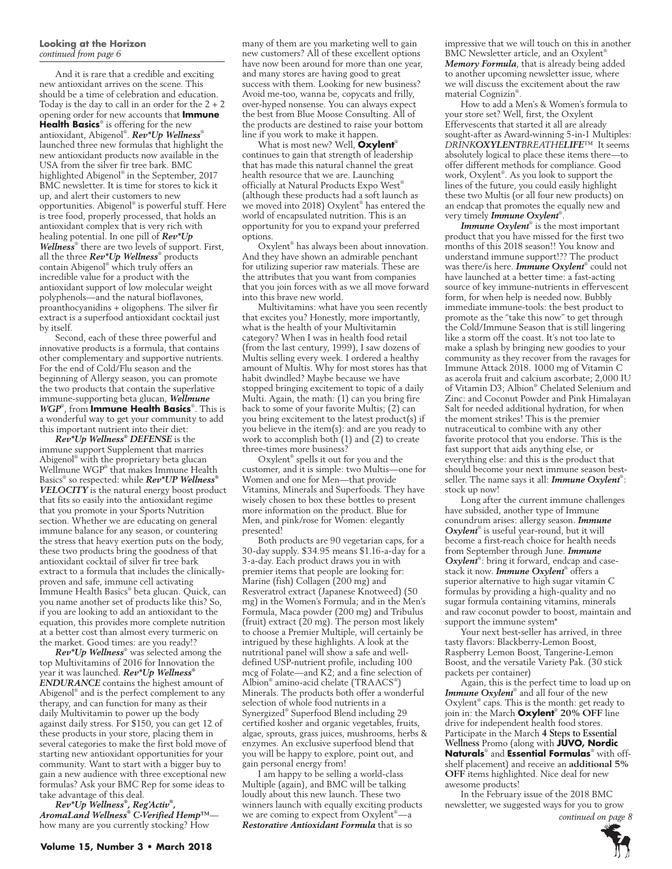#### **Looking at the Horizon** *continued from page 6*

And it is rare that a credible and exciting new antioxidant arrives on the scene. This should be a time of celebration and education. Today is the day to call in an order for the  $2 + 2$ opening order for new accounts that **Immune Health Basics**® is offering for the new antioxidant, Abigenol® . *Rev\*Up Wellness*® launched three new formulas that highlight the new antioxidant products now available in the USA from the silver fir tree bark. BMC highlighted Abigenol® in the September, 2017 BMC newsletter. It is time for stores to kick it up, and alert their customers to new opportunities. Abigenol® is powerful stuff. Here is tree food, properly processed, that holds an antioxidant complex that is very rich with healing potential. In one pill of *Rev\*Up Wellness*® there are two levels of support. First, all the three *Rev\*Up Wellness*® products contain Abigenol® which truly offers an incredible value for a product with the antioxidant support of low molecular weight polyphenols—and the natural bioflavones, proanthocyanidins + oligophens. The silver fir extract is a superfood antioxidant cocktail just by itself.

Second, each of these three powerful and innovative products is a formula, that contains other complementary and supportive nutrients. For the end of Cold/Flu season and the beginning of Allergy season, you can promote the two products that contain the superlative immune-supporting beta glucan, *Wellmune WGP*® , from **Immune Health Basics**® . This is a wonderful way to get your community to add this important nutrient into their diet:

*Rev\*Up Wellness® DEFENSE* is the immune support Supplement that marries Abigenol® with the proprietary beta glucan Wellmune WGP® that makes Immune Health Basics® so respected: while *Rev\*UP Wellness® VELOCITY* is the natural energy boost product that fits so easily into the antioxidant regime that you promote in your Sports Nutrition section. Whether we are educating on general immune balance for any season, or countering the stress that heavy exertion puts on the body, these two products bring the goodness of that antioxidant cocktail of silver fir tree bark extract to a formula that includes the clinicallyproven and safe, immune cell activating Immune Health Basics® beta glucan. Quick, can you name another set of products like this? So, if you are looking to add an antioxidant to the equation, this provides more complete nutrition at a better cost than almost every turmeric on the market. Good times: are you ready!?

*Rev\*Up Wellness*® was selected among the top Multivitamins of 2016 for Innovation the year it was launched. *Rev\*Up Wellness® ENDURANCE* contains the highest amount of Abigenol® and is the perfect complement to any therapy, and can function for many as their daily Multivitamin to power up the body against daily stress. For \$150, you can get 12 of these products in your store, placing them in several categories to make the first bold move of starting new antioxidant opportunities for your community. Want to start with a bigger buy to gain a new audience with three exceptional new formulas? Ask your BMC Rep for some ideas to take advantage of this deal.

*Rev\*Up Wellness® , Reg'Activ® , AromaLand Wellness® C-Verified Hemp™* how many are you currently stocking? How

What is most new? Well, **Oxylent**® continues to gain that strength of leadership that has made this natural channel the great health resource that we are. Launching officially at Natural Products Expo West<sup>®</sup> (although these products had a soft launch as we moved into 2018) Oxylent® has entered the world of encapsulated nutrition. This is an opportunity for you to expand your preferred options.

Oxylent® has always been about innovation. And they have shown an admirable penchant for utilizing superior raw materials. These are the attributes that you want from companies that you join forces with as we all move forward into this brave new world.

Multivitamins: what have you seen recently that excites you? Honestly, more importantly, what is the health of your Multivitamin category? When I was in health food retail (from the last century, 1999), I saw dozens of Multis selling every week. I ordered a healthy amount of Multis. Why for most stores has that habit dwindled? Maybe because we have stopped bringing excitement to topic of a daily Multi. Again, the math: (1) can you bring fire back to some of your favorite Multis; (2) can you bring excitement to the latest product(s) if you believe in the item(s): and are you ready to work to accomplish both (1) and (2) to create three-times more business?

Oxylent® spells it out for you and the customer, and it is simple: two Multis—one for Women and one for Men—that provide Vitamins, Minerals and Superfoods. They have wisely chosen to box these bottles to present more information on the product. Blue for Men, and pink/rose for Women: elegantly presented!

Both products are 90 vegetarian caps, for a 30-day supply. \$34.95 means \$1.16-a-day for a 3-a-day. Each product draws you in with premier items that people are looking for: Marine (fish) Collagen (200 mg) and Resveratrol extract (Japanese Knotweed) (50 mg) in the Women's Formula; and in the Men's Formula, Maca powder (200 mg) and Tribulus (fruit) extract (20 mg). The person most likely to choose a Premier Multiple, will certainly be intrigued by these highlights. A look at the nutritional panel will show a safe and welldefined USP-nutrient profile, including 100 mcg of Folate—and K2; and a fine selection of Albion® amino-acid chelate (TRAACS® ) Minerals. The products both offer a wonderful selection of whole food nutrients in a Synergized® Superfood Blend including 29 certified kosher and organic vegetables, fruits, algae, sprouts, grass juices, mushrooms, herbs & enzymes. An exclusive superfood blend that you will be happy to explore, point out, and gain personal energy from!

I am happy to be selling a world-class Multiple (again), and BMC will be talking loudly about this new launch. These two winners launch with equally exciting products we are coming to expect from Oxylent® —a *Restorative Antioxidant Formula* that is so

impressive that we will touch on this in another BMC Newsletter article, and an Oxylent® *Memory Formula*, that is already being added to another upcoming newsletter issue, where we will discuss the excitement about the raw material Cognizin® .

How to add a Men's & Women's formula to your store set? Well, first, the Oxylent Effervescents that started it all are already sought-after as Award-winning 5-in-1 Multiples: *DRINKOXYLENTBREATHELIFE*™ It seems absolutely logical to place these items there—to offer different methods for compliance. Good work, Oxylent® . As you look to support the lines of the future, you could easily highlight these two Multis (or all four new products) on an endcap that promotes the equally new and very timely *Immune Oxylent*® .

*Immune Oxylent*® is the most important product that you have missed for the first two months of this 2018 season!! You know and understand immune support!?? The product was there/is here. *Immune Oxylent*® could not have launched at a better time: a fast-acting source of key immune-nutrients in effervescent form, for when help is needed now. Bubbly immediate immune-tools: the best product to promote as the "take this now" to get through the Cold/Immune Season that is still lingering like a storm off the coast. It's not too late to make a splash by bringing new goodies to your community as they recover from the ravages for Immune Attack 2018. 1000 mg of Vitamin C as acerola fruit and calcium ascorbate; 2,000 IU of Vitamin D3; Albion® Chelated Selenium and Zinc: and Coconut Powder and Pink Himalayan Salt for needed additional hydration, for when the moment strikes! This is the premier nutraceutical to combine with any other favorite protocol that you endorse. This is the fast support that aids anything else, or everything else: and this is the product that should become your next immune season bestseller. The name says it all: *Immune Oxylent*® : stock up now!

Long after the current immune challenges have subsided, another type of Immune conundrum arises: allergy season. *Immune Oxylent*® is useful year-round, but it will become a first-reach choice for health needs from September through June. *Immune*  Oxylent<sup>®</sup>: bring it forward, endcap and casestack it now. *Immune Oxylent*® offers a superior alternative to high sugar vitamin C formulas by providing a high-quality and no sugar formula containing vitamins, minerals and raw coconut powder to boost, maintain and support the immune system\*

Your next best-seller has arrived, in three tasty flavors: Blackberry-Lemon Boost, Raspberry Lemon Boost, Tangerine-Lemon Boost, and the versatile Variety Pak. (30 stick packets per container)

Again, this is the perfect time to load up on *Immune Oxylent*® and all four of the new Oxylent® caps. This is the month: get ready to join in: the March **Oxylent**® **20% OFF** line drive for independent health food stores. Participate in the March **4 Steps to Essential Wellness** Promo (along with **JUVO, Nordic Naturals**® and **Essential Formulas**® with offshelf placement) and receive an **additional 5% OFF** items highlighted. Nice deal for new awesome products!

In the February issue of the 2018 BMC newsletter, we suggested ways for you to grow

*continued on page 8*